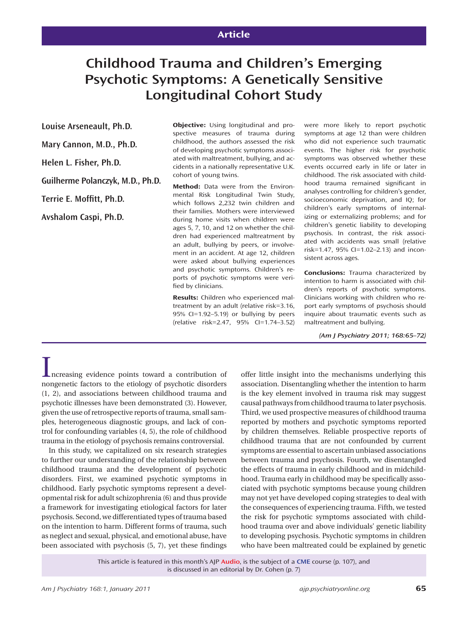## **Article**

# **Childhood Trauma and Children's Emerging Psychotic Symptoms: A Genetically Sensitive Longitudinal Cohort Study**

**Louise Arseneault, Ph.D.**

**Mary Cannon, M.D., Ph.D.**

**Helen L. Fisher, Ph.D.**

**Guilherme Polanczyk, M.D., Ph.D.**

Terrie E. Moffitt, Ph.D.

**Avshalom Caspi, Ph.D.**

**Objective:** Using longitudinal and prospective measures of trauma during childhood, the authors assessed the risk of developing psychotic symptoms associated with maltreatment, bullying, and accidents in a nationally representative U.K. cohort of young twins.

**Method:** Data were from the Environmental Risk Longitudinal Twin Study, which follows 2,232 twin children and their families. Mothers were interviewed during home visits when children were ages 5, 7, 10, and 12 on whether the children had experienced maltreatment by an adult, bullying by peers, or involvement in an accident. At age 12, children were asked about bullying experiences and psychotic symptoms. Children's reports of psychotic symptoms were verified by clinicians.

**Results:** Children who experienced maltreatment by an adult (relative risk=3.16, 95% CI=1.92–5.19) or bullying by peers (relative risk=2.47, 95% CI=1.74–3.52)

were more likely to report psychotic symptoms at age 12 than were children who did not experience such traumatic events. The higher risk for psychotic symptoms was observed whether these events occurred early in life or later in childhood. The risk associated with childhood trauma remained significant in analyses controlling for children's gender, socioeconomic deprivation, and IQ; for children's early symptoms of internalizing or externalizing problems; and for children's genetic liability to developing psychosis. In contrast, the risk associated with accidents was small (relative risk=1.47, 95% CI=1.02–2.13) and inconsistent across ages.

**Conclusions:** Trauma characterized by intention to harm is associated with children's reports of psychotic symptoms. Clinicians working with children who report early symptoms of psychosis should inquire about traumatic events such as maltreatment and bullying.

*(Am J Psychiatry 2011; 168:65–72)*

Increasing evidence points toward a contribution of nongenetic factors to the etiology of psychotic disorders (1, 2), and associations between childhood trauma and psychotic illnesses have been demonstrated (3). However, given the use of retrospective reports of trauma, small samples, heterogeneous diagnostic groups, and lack of control for confounding variables (4, 5), the role of childhood trauma in the etiology of psychosis remains controversial.

In this study, we capitalized on six research strategies to further our understanding of the relationship between childhood trauma and the development of psychotic disorders. First, we examined psychotic symptoms in childhood. Early psychotic symptoms represent a developmental risk for adult schizophrenia (6) and thus provide a framework for investigating etiological factors for later psychosis. Second, we differentiated types of trauma based on the intention to harm. Different forms of trauma, such as neglect and sexual, physical, and emotional abuse, have been associated with psychosis (5, 7), yet these findings offer little insight into the mechanisms underlying this association. Disentangling whether the intention to harm is the key element involved in trauma risk may suggest causal pathways from childhood trauma to later psychosis. Third, we used prospective measures of childhood trauma reported by mothers and psychotic symptoms reported by children themselves. Reliable prospective reports of childhood trauma that are not confounded by current symptoms are essential to ascertain unbiased associations between trauma and psychosis. Fourth, we disentangled the effects of trauma in early childhood and in midchildhood. Trauma early in childhood may be specifically associated with psychotic symptoms because young children may not yet have developed coping strategies to deal with the consequences of experiencing trauma. Fifth, we tested the risk for psychotic symptoms associated with childhood trauma over and above individuals' genetic liability to developing psychosis. Psychotic symptoms in children who have been maltreated could be explained by genetic

This article is featured in this month's AJP **Audio**, is the subject of a **CME** course (p. 107), and is discussed in an editorial by Dr. Cohen (p. 7)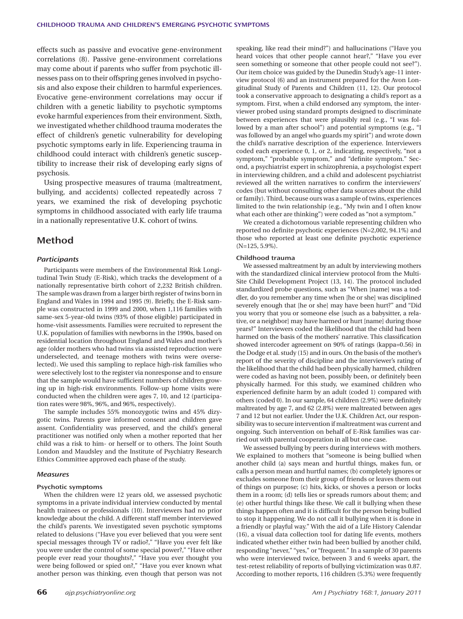effects such as passive and evocative gene-environment correlations (8). Passive gene-environment correlations may come about if parents who suffer from psychotic illnesses pass on to their offspring genes involved in psychosis and also expose their children to harmful experiences. Evocative gene-environment correlations may occur if children with a genetic liability to psychotic symptoms evoke harmful experiences from their environment. Sixth, we investigated whether childhood trauma moderates the effect of children's genetic vulnerability for developing psychotic symptoms early in life. Experiencing trauma in childhood could interact with children's genetic susceptibility to increase their risk of developing early signs of psychosis.

Using prospective measures of trauma (maltreatment, bullying, and accidents) collected repeatedly across 7 years, we examined the risk of developing psychotic symptoms in childhood associated with early life trauma in a nationally representative U.K. cohort of twins.

## **Method**

#### *Participants*

Participants were members of the Environmental Risk Longitudinal Twin Study (E-Risk), which tracks the development of a nationally representative birth cohort of 2,232 British children. The sample was drawn from a larger birth register of twins born in England and Wales in 1994 and 1995 (9). Briefly, the E-Risk sample was constructed in 1999 and 2000, when 1,116 families with same-sex 5-year-old twins (93% of those eligible) participated in home-visit assessments. Families were recruited to represent the U.K. population of families with newborns in the 1990s, based on residential location throughout England and Wales and mother's age (older mothers who had twins via assisted reproduction were underselected, and teenage mothers with twins were overselected). We used this sampling to replace high-risk families who were selectively lost to the register via nonresponse and to ensure that the sample would have sufficient numbers of children growing up in high-risk environments. Follow-up home visits were conducted when the children were ages 7, 10, and 12 (participation rates were 98%, 96%, and 96%, respectively).

The sample includes 55% monozygotic twins and 45% dizygotic twins. Parents gave informed consent and children gave assent. Confidentiality was preserved, and the child's general practitioner was notified only when a mother reported that her child was a risk to him- or herself or to others. The Joint South London and Maudsley and the Institute of Psychiatry Research Ethics Committee approved each phase of the study.

#### *Measures*

#### **Psychotic symptoms**

When the children were 12 years old, we assessed psychotic symptoms in a private individual interview conducted by mental health trainees or professionals (10). Interviewers had no prior knowledge about the child. A different staff member interviewed the child's parents. We investigated seven psychotic symptoms related to delusions ("Have you ever believed that you were sent special messages through TV or radio?," "Have you ever felt like you were under the control of some special power?," "Have other people ever read your thoughts?," "Have you ever thought you were being followed or spied on?," "Have you ever known what another person was thinking, even though that person was not

speaking, like read their mind?") and hallucinations ("Have you heard voices that other people cannot hear?," "Have you ever seen something or someone that other people could not see?"). Our item choice was guided by the Dunedin Study's age-11 interview protocol (6) and an instrument prepared for the Avon Longitudinal Study of Parents and Children (11, 12). Our protocol took a conservative approach to designating a child's report as a symptom. First, when a child endorsed any symptom, the interviewer probed using standard prompts designed to discriminate between experiences that were plausibly real (e.g., "I was followed by a man after school") and potential symptoms (e.g., "I was followed by an angel who guards my spirit") and wrote down the child's narrative description of the experience. Interviewers coded each experience 0, 1, or 2, indicating, respectively, "not a symptom," "probable symptom," and "definite symptom." Second, a psychiatrist expert in schizophrenia, a psychologist expert in interviewing children, and a child and adolescent psychiatrist reviewed all the written narratives to confirm the interviewers' codes (but without consulting other data sources about the child or family). Third, because ours was a sample of twins, experiences limited to the twin relationship (e.g., "My twin and I often know what each other are thinking") were coded as "not a symptom."

We created a dichotomous variable representing children who reported no definite psychotic experiences (N=2,002, 94.1%) and those who reported at least one definite psychotic experience (N=125, 5.9%).

#### **Childhood trauma**

We assessed maltreatment by an adult by interviewing mothers with the standardized clinical interview protocol from the Multi-Site Child Development Project (13, 14). The protocol included standardized probe questions, such as "When [name] was a toddler, do you remember any time when [he or she] was disciplined severely enough that [he or she] may have been hurt?" and "Did you worry that you or someone else [such as a babysitter, a relative, or a neighbor] may have harmed or hurt [name] during those years?" Interviewers coded the likelihood that the child had been harmed on the basis of the mothers' narrative. This classification showed intercoder agreement on 90% of ratings (kappa=0.56) in the Dodge et al. study (15) and in ours. On the basis of the mother's report of the severity of discipline and the interviewer's rating of the likelihood that the child had been physically harmed, children were coded as having not been, possibly been, or definitely been physically harmed. For this study, we examined children who experienced definite harm by an adult (coded 1) compared with others (coded 0). In our sample, 64 children (2.9%) were definitely maltreated by age 7, and 62 (2.8%) were maltreated between ages 7 and 12 but not earlier. Under the U.K. Children Act, our responsibility was to secure intervention if maltreatment was current and ongoing. Such intervention on behalf of E-Risk families was carried out with parental cooperation in all but one case.

We assessed bullying by peers during interviews with mothers. We explained to mothers that "someone is being bullied when another child (a) says mean and hurtful things, makes fun, or calls a person mean and hurtful names; (b) completely ignores or excludes someone from their group of friends or leaves them out of things on purpose; (c) hits, kicks, or shoves a person or locks them in a room; (d) tells lies or spreads rumors about them; and (e) other hurtful things like these. We call it bullying when these things happen often and it is difficult for the person being bullied to stop it happening. We do not call it bullying when it is done in a friendly or playful way." With the aid of a Life History Calendar (16), a visual data collection tool for dating life events, mothers indicated whether either twin had been bullied by another child, responding "never," "yes," or "frequent." In a sample of 30 parents who were interviewed twice, between 3 and 6 weeks apart, the test-retest reliability of reports of bullying victimization was 0.87. According to mother reports, 116 children (5.3%) were frequently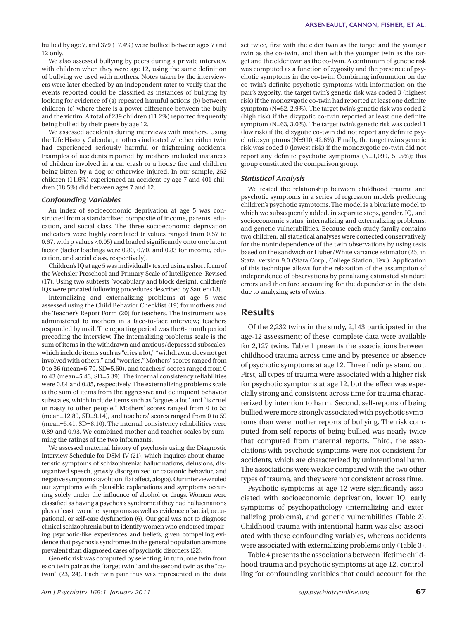bullied by age 7, and 379 (17.4%) were bullied between ages 7 and 12 only.

We also assessed bullying by peers during a private interview with children when they were age 12, using the same definition of bullying we used with mothers. Notes taken by the interviewers were later checked by an independent rater to verify that the events reported could be classified as instances of bullying by looking for evidence of (a) repeated harmful actions (b) between children (c) where there is a power difference between the bully and the victim. A total of 239 children (11.2%) reported frequently being bullied by their peers by age 12.

We assessed accidents during interviews with mothers. Using the Life History Calendar, mothers indicated whether either twin had experienced seriously harmful or frightening accidents. Examples of accidents reported by mothers included instances of children involved in a car crash or a house fire and children being bitten by a dog or otherwise injured. In our sample, 252 children (11.6%) experienced an accident by age 7 and 401 children (18.5%) did between ages 7 and 12.

#### *Confounding Variables*

An index of socioeconomic deprivation at age 5 was constructed from a standardized composite of income, parents' education, and social class. The three socioeconomic deprivation indicators were highly correlated (r values ranged from 0.57 to 0.67, with p values <0.05) and loaded significantly onto one latent factor (factor loadings were 0.80, 0.70, and 0.83 for income, education, and social class, respectively).

Children's IQ at age 5 was individually tested using a short form of the Wechsler Preschool and Primary Scale of Intelligence–Revised (17). Using two subtests (vocabulary and block design), children's IQs were prorated following procedures described by Sattler (18).

Internalizing and externalizing problems at age 5 were assessed using the Child Behavior Checklist (19) for mothers and the Teacher's Report Form (20) for teachers. The instrument was administered to mothers in a face-to-face interview; teachers responded by mail. The reporting period was the 6-month period preceding the interview. The internalizing problems scale is the sum of items in the withdrawn and anxious/depressed subscales, which include items such as "cries a lot," "withdrawn, does not get involved with others," and "worries." Mothers' scores ranged from 0 to 36 (mean=6.70, SD=5.60), and teachers' scores ranged from 0 to 43 (mean=5.43, SD=5.39). The internal consistency reliabilities were 0.84 and 0.85, respectively. The externalizing problems scale is the sum of items from the aggressive and delinquent behavior subscales, which include items such as "argues a lot" and "is cruel or nasty to other people." Mothers' scores ranged from 0 to 55 (mean=12.89, SD=9.14), and teachers' scores ranged from 0 to 59 (mean=5.41, SD=8.10). The internal consistency reliabilities were 0.89 and 0.93. We combined mother and teacher scales by summing the ratings of the two informants.

We assessed maternal history of psychosis using the Diagnostic Interview Schedule for DSM-IV (21), which inquires about characteristic symptoms of schizophrenia: hallucinations, delusions, disorganized speech, grossly disorganized or catatonic behavior, and negative symptoms (avolition, flat affect, alogia). Our interview ruled out symptoms with plausible explanations and symptoms occurring solely under the influence of alcohol or drugs. Women were classified as having a psychosis syndrome if they had hallucinations plus at least two other symptoms as well as evidence of social, occupational, or self-care dysfunction (6). Our goal was not to diagnose clinical schizophrenia but to identify women who endorsed impairing psychotic-like experiences and beliefs, given compelling evidence that psychosis syndromes in the general population are more prevalent than diagnosed cases of psychotic disorders (22).

Genetic risk was computed by selecting, in turn, one twin from each twin pair as the "target twin" and the second twin as the "cotwin" (23, 24). Each twin pair thus was represented in the data

set twice, first with the elder twin as the target and the younger twin as the co-twin, and then with the younger twin as the target and the elder twin as the co-twin. A continuum of genetic risk was computed as a function of zygosity and the presence of psychotic symptoms in the co-twin. Combining information on the co-twin's definite psychotic symptoms with information on the pair's zygosity, the target twin's genetic risk was coded 3 (highest risk) if the monozygotic co-twin had reported at least one definite symptom (N=62, 2.9%). The target twin's genetic risk was coded 2 (high risk) if the dizygotic co-twin reported at least one definite symptom (N=63, 3.0%). The target twin's genetic risk was coded 1 (low risk) if the dizygotic co-twin did not report any definite psychotic symptoms (N=910, 42.6%). Finally, the target twin's genetic risk was coded 0 (lowest risk) if the monozygotic co-twin did not report any definite psychotic symptoms  $(N=1,099, 51.5\%)$ ; this group constituted the comparison group.

#### *Statistical Analysis*

We tested the relationship between childhood trauma and psychotic symptoms in a series of regression models predicting children's psychotic symptoms. The model is a bivariate model to which we subsequently added, in separate steps, gender, IQ, and socioeconomic status; internalizing and externalizing problems; and genetic vulnerabilities. Because each study family contains two children, all statistical analyses were corrected conservatively for the nonindependence of the twin observations by using tests based on the sandwich or Huber/White variance estimator (25) in Stata, version 9.0 (Stata Corp., College Station, Tex.). Application of this technique allows for the relaxation of the assumption of independence of observations by penalizing estimated standard errors and therefore accounting for the dependence in the data due to analyzing sets of twins.

### **Results**

Of the 2,232 twins in the study, 2,143 participated in the age-12 assessment; of these, complete data were available for 2,127 twins. Table 1 presents the associations between childhood trauma across time and by presence or absence of psychotic symptoms at age 12. Three findings stand out. First, all types of trauma were associated with a higher risk for psychotic symptoms at age 12, but the effect was especially strong and consistent across time for trauma characterized by intention to harm. Second, self-reports of being bullied were more strongly associated with psychotic symptoms than were mother reports of bullying. The risk computed from self-reports of being bullied was nearly twice that computed from maternal reports. Third, the associations with psychotic symptoms were not consistent for accidents, which are characterized by unintentional harm. The associations were weaker compared with the two other types of trauma, and they were not consistent across time.

Psychotic symptoms at age 12 were significantly associated with socioeconomic deprivation, lower IQ, early symptoms of psychopathology (internalizing and externalizing problems), and genetic vulnerabilities (Table 2). Childhood trauma with intentional harm was also associated with these confounding variables, whereas accidents were associated with externalizing problems only (Table 3).

Table 4 presents the associations between lifetime childhood trauma and psychotic symptoms at age 12, controlling for confounding variables that could account for the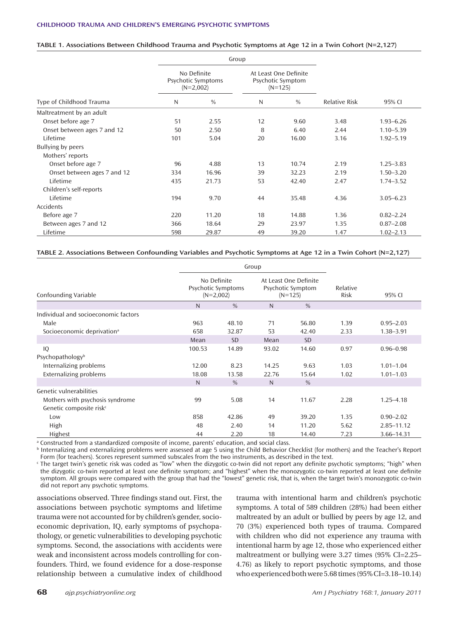#### **TABLE 1. Associations Between Childhood Trauma and Psychotic Symptoms at Age 12 in a Twin Cohort (N=2,127)**

|                             |                                                  | Group         |                                                         |               |                      |               |  |
|-----------------------------|--------------------------------------------------|---------------|---------------------------------------------------------|---------------|----------------------|---------------|--|
|                             | No Definite<br>Psychotic Symptoms<br>$(N=2,002)$ |               | At Least One Definite<br>Psychotic Symptom<br>$(N=125)$ |               |                      |               |  |
| Type of Childhood Trauma    | N                                                | $\frac{0}{0}$ | N                                                       | $\frac{0}{0}$ | <b>Relative Risk</b> | 95% CI        |  |
| Maltreatment by an adult    |                                                  |               |                                                         |               |                      |               |  |
| Onset before age 7          | 51                                               | 2.55          | 12                                                      | 9.60          | 3.48                 | $1.93 - 6.26$ |  |
| Onset between ages 7 and 12 | 50                                               | 2.50          | 8                                                       | 6.40          | 2.44                 | $1.10 - 5.39$ |  |
| Lifetime                    | 101                                              | 5.04          | 20                                                      | 16.00         | 3.16                 | $1.92 - 5.19$ |  |
| Bullying by peers           |                                                  |               |                                                         |               |                      |               |  |
| Mothers' reports            |                                                  |               |                                                         |               |                      |               |  |
| Onset before age 7          | 96                                               | 4.88          | 13                                                      | 10.74         | 2.19                 | $1.25 - 3.83$ |  |
| Onset between ages 7 and 12 | 334                                              | 16.96         | 39                                                      | 32.23         | 2.19                 | $1.50 - 3.20$ |  |
| Lifetime                    | 435                                              | 21.73         | 53                                                      | 42.40         | 2.47                 | $1.74 - 3.52$ |  |
| Children's self-reports     |                                                  |               |                                                         |               |                      |               |  |
| Lifetime                    | 194                                              | 9.70          | 44                                                      | 35.48         | 4.36                 | $3.05 - 6.23$ |  |
| Accidents                   |                                                  |               |                                                         |               |                      |               |  |
| Before age 7                | 220                                              | 11.20         | 18                                                      | 14.88         | 1.36                 | $0.82 - 2.24$ |  |
| Between ages 7 and 12       | 366                                              | 18.64         | 29                                                      | 23.97         | 1.35                 | $0.87 - 2.08$ |  |
| Lifetime                    | 598                                              | 29.87         | 49                                                      | 39.20         | 1.47                 | $1.02 - 2.13$ |  |

#### **TABLE 2. Associations Between Confounding Variables and Psychotic Symptoms at Age 12 in a Twin Cohort (N=2,127)**

|                                        |                            | Group              |                                                         |               |                  |               |
|----------------------------------------|----------------------------|--------------------|---------------------------------------------------------|---------------|------------------|---------------|
| Confounding Variable                   | No Definite<br>$(N=2,002)$ | Psychotic Symptoms | At Least One Definite<br>Psychotic Symptom<br>$(N=125)$ |               | Relative<br>Risk | 95% CI        |
|                                        | $\mathsf{N}$               | $\frac{0}{0}$      | $\mathsf{N}$                                            | $\frac{0}{0}$ |                  |               |
| Individual and socioeconomic factors   |                            |                    |                                                         |               |                  |               |
| Male                                   | 963                        | 48.10              | 71                                                      | 56.80         | 1.39             | $0.95 - 2.03$ |
| Socioeconomic deprivation <sup>a</sup> | 658                        | 32.87              | 53                                                      | 42.40         | 2.33             | $1.38 - 3.91$ |
|                                        | Mean                       | <b>SD</b>          | Mean                                                    | <b>SD</b>     |                  |               |
| IQ                                     | 100.53                     | 14.89              | 93.02                                                   | 14.60         | 0.97             | $0.96 - 0.98$ |
| Psychopathologyb                       |                            |                    |                                                         |               |                  |               |
| Internalizing problems                 | 12.00                      | 8.23               | 14.25                                                   | 9.63          | 1.03             | $1.01 - 1.04$ |
| Externalizing problems                 | 18.08                      | 13.58              | 22.76                                                   | 15.64         | 1.02             | $1.01 - 1.03$ |
|                                        | N                          | $\frac{0}{0}$      | N                                                       | $\frac{0}{0}$ |                  |               |
| Genetic vulnerabilities                |                            |                    |                                                         |               |                  |               |
| Mothers with psychosis syndrome        | 99                         | 5.08               | 14                                                      | 11.67         | 2.28             | $1.25 - 4.18$ |
| Genetic composite risk <sup>c</sup>    |                            |                    |                                                         |               |                  |               |
| Low                                    | 858                        | 42.86              | 49                                                      | 39.20         | 1.35             | $0.90 - 2.02$ |
| High                                   | 48                         | 2.40               | 14                                                      | 11.20         | 5.62             | 2.85-11.12    |
| Highest                                | 44                         | 2.20               | 18                                                      | 14.40         | 7.23             | 3.66-14.31    |

a Constructed from a standardized composite of income, parents' education, and social class.

b Internalizing and externalizing problems were assessed at age 5 using the Child Behavior Checklist (for mothers) and the Teacher's Report Form (for teachers). Scores represent summed subscales from the two instruments, as described in the text.

Ine target twin's genetic risk was coded as "low" when the dizygotic co-twin did not report any definite psychotic symptoms; "high" when <a> the dizygotic co-twin reported at least one definite symptom; and "highest" when the monozygotic co-twin reported at least one definite symptom. All groups were compared with the group that had the "lowest" genetic risk, that is, when the target twin's monozygotic co-twin did not report any psychotic symptoms.

associations observed. Three findings stand out. First, the associations between psychotic symptoms and lifetime trauma were not accounted for by children's gender, socioeconomic deprivation, IQ, early symptoms of psychopathology, or genetic vulnerabilities to developing psychotic symptoms. Second, the associations with accidents were weak and inconsistent across models controlling for confounders. Third, we found evidence for a dose-response relationship between a cumulative index of childhood

trauma with intentional harm and children's psychotic symptoms. A total of 589 children (28%) had been either maltreated by an adult or bullied by peers by age 12, and 70 (3%) experienced both types of trauma. Compared with children who did not experience any trauma with intentional harm by age 12, those who experienced either maltreatment or bullying were 3.27 times (95% CI=2.25– 4.76) as likely to report psychotic symptoms, and those who experienced both were 5.68 times (95% CI=3.18–10.14)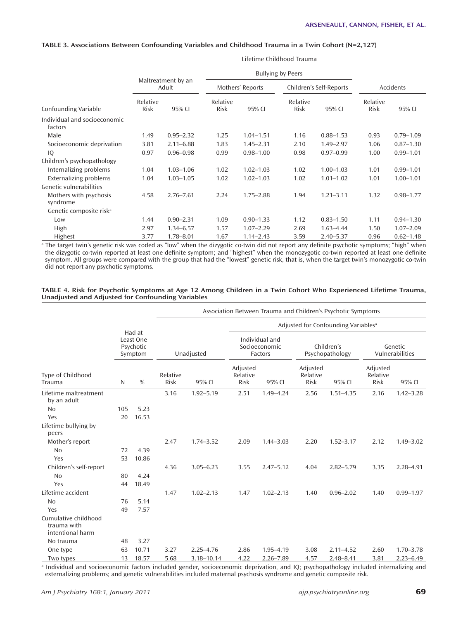|                                         | Lifetime Childhood Trauma   |               |                  |                  |                  |                         |                  |               |  |  |
|-----------------------------------------|-----------------------------|---------------|------------------|------------------|------------------|-------------------------|------------------|---------------|--|--|
|                                         | <b>Bullying by Peers</b>    |               |                  |                  |                  |                         |                  |               |  |  |
|                                         | Maltreatment by an<br>Adult |               |                  | Mothers' Reports |                  | Children's Self-Reports | Accidents        |               |  |  |
| Confounding Variable                    | Relative<br>Risk            | 95% CI        | Relative<br>Risk | 95% CI           | Relative<br>Risk | 95% CI                  | Relative<br>Risk | 95% CI        |  |  |
| Individual and socioeconomic<br>factors |                             |               |                  |                  |                  |                         |                  |               |  |  |
| Male                                    | 1.49                        | $0.95 - 2.32$ | 1.25             | $1.04 - 1.51$    | 1.16             | $0.88 - 1.53$           | 0.93             | $0.79 - 1.09$ |  |  |
| Socioeconomic deprivation               | 3.81                        | $2.11 - 6.88$ | 1.83             | $1.45 - 2.31$    | 2.10             | $1.49 - 2.97$           | 1.06             | $0.87 - 1.30$ |  |  |
| IQ                                      | 0.97                        | $0.96 - 0.98$ | 0.99             | $0.98 - 1.00$    | 0.98             | $0.97 - 0.99$           | 1.00             | $0.99 - 1.01$ |  |  |
| Children's psychopathology              |                             |               |                  |                  |                  |                         |                  |               |  |  |
| Internalizing problems                  | 1.04                        | $1.03 - 1.06$ | 1.02             | $1.02 - 1.03$    | 1.02             | $1.00 - 1.03$           | 1.01             | $0.99 - 1.01$ |  |  |
| <b>Externalizing problems</b>           | 1.04                        | $1.03 - 1.05$ | 1.02             | $1.02 - 1.03$    | 1.02             | $1.01 - 1.02$           | 1.01             | $1.00 - 1.01$ |  |  |
| Genetic vulnerabilities                 |                             |               |                  |                  |                  |                         |                  |               |  |  |
| Mothers with psychosis<br>syndrome      | 4.58                        | $2.76 - 7.61$ | 2.24             | $1.75 - 2.88$    | 1.94             | $1.21 - 3.11$           | 1.32             | $0.98 - 1.77$ |  |  |
| Genetic composite risk <sup>a</sup>     |                             |               |                  |                  |                  |                         |                  |               |  |  |
| Low                                     | 1.44                        | $0.90 - 2.31$ | 1.09             | $0.90 - 1.33$    | 1.12             | $0.83 - 1.50$           | 1.11             | $0.94 - 1.30$ |  |  |
| High                                    | 2.97                        | $1.34 - 6.57$ | 1.57             | $1.07 - 2.29$    | 2.69             | $1.63 - 4.44$           | 1.50             | $1.07 - 2.09$ |  |  |
| Highest                                 | 3.77                        | $1.78 - 8.01$ | 1.67             | $1.14 - 2.43$    | 3.59             | $2.40 - 5.37$           | 0.96             | $0.62 - 1.48$ |  |  |

#### **TABLE 3. Associations Between Confounding Variables and Childhood Trauma in a Twin Cohort (N=2,127)**

<sup>a</sup> The target twin's genetic risk was coded as "low" when the dizygotic co-twin did not report any definite psychotic symptoms; "high" when the dizygotic co-twin reported at least one definite symptom; and "highest" when the monozygotic co-twin reported at least one definite symptom. All groups were compared with the group that had the "lowest" genetic risk, that is, when the target twin's monozygotic co-twin did not report any psychotic symptoms.

#### **TABLE 4. Risk for Psychotic Symptoms at Age 12 Among Children in a Twin Cohort Who Experienced Lifetime Trauma, Unadjusted and Adjusted for Confounding Variables**

|                                                         |                                             | Association Between Trauma and Children's Psychotic Symptoms |                         |               |                                                 |               |                                     |               |                                     |               |  |
|---------------------------------------------------------|---------------------------------------------|--------------------------------------------------------------|-------------------------|---------------|-------------------------------------------------|---------------|-------------------------------------|---------------|-------------------------------------|---------------|--|
|                                                         |                                             |                                                              |                         |               | Adjusted for Confounding Variables <sup>a</sup> |               |                                     |               |                                     |               |  |
|                                                         | Had at<br>Least One<br>Psychotic<br>Symptom |                                                              | Unadjusted              |               | Individual and<br>Socioeconomic<br>Factors      |               | Children's<br>Psychopathology       |               | Genetic<br>Vulnerabilities          |               |  |
| Type of Childhood<br>Trauma                             | N                                           | $\frac{0}{0}$                                                | Relative<br><b>Risk</b> | 95% CI        | Adjusted<br>Relative<br>Risk                    | 95% CI        | Adjusted<br>Relative<br><b>Risk</b> | 95% CI        | Adjusted<br>Relative<br><b>Risk</b> | 95% CI        |  |
| Lifetime maltreatment<br>by an adult                    |                                             |                                                              | 3.16                    | $1.92 - 5.19$ | 2.51                                            | $1.49 - 4.24$ | 2.56                                | $1.51 - 4.35$ | 2.16                                | $1.42 - 3.28$ |  |
| N <sub>0</sub>                                          | 105                                         | 5.23                                                         |                         |               |                                                 |               |                                     |               |                                     |               |  |
| Yes                                                     | 20                                          | 16.53                                                        |                         |               |                                                 |               |                                     |               |                                     |               |  |
| Lifetime bullying by<br>peers                           |                                             |                                                              |                         |               |                                                 |               |                                     |               |                                     |               |  |
| Mother's report                                         |                                             |                                                              | 2.47                    | $1.74 - 3.52$ | 2.09                                            | $1.44 - 3.03$ | 2.20                                | $1.52 - 3.17$ | 2.12                                | $1.49 - 3.02$ |  |
| <b>No</b>                                               | 72                                          | 4.39                                                         |                         |               |                                                 |               |                                     |               |                                     |               |  |
| Yes                                                     | 53                                          | 10.86                                                        |                         |               |                                                 |               |                                     |               |                                     |               |  |
| Children's self-report                                  |                                             |                                                              | 4.36                    | $3.05 - 6.23$ | 3.55                                            | $2.47 - 5.12$ | 4.04                                | $2.82 - 5.79$ | 3.35                                | $2.28 - 4.91$ |  |
| <b>No</b>                                               | 80                                          | 4.24                                                         |                         |               |                                                 |               |                                     |               |                                     |               |  |
| Yes                                                     | 44                                          | 18.49                                                        |                         |               |                                                 |               |                                     |               |                                     |               |  |
| Lifetime accident                                       |                                             |                                                              | 1.47                    | $1.02 - 2.13$ | 1.47                                            | $1.02 - 2.13$ | 1.40                                | $0.96 - 2.02$ | 1.40                                | $0.99 - 1.97$ |  |
| N <sub>0</sub>                                          | 76                                          | 5.14                                                         |                         |               |                                                 |               |                                     |               |                                     |               |  |
| Yes                                                     | 49                                          | 7.57                                                         |                         |               |                                                 |               |                                     |               |                                     |               |  |
| Cumulative childhood<br>trauma with<br>intentional harm |                                             |                                                              |                         |               |                                                 |               |                                     |               |                                     |               |  |
| No trauma                                               | 48                                          | 3.27                                                         |                         |               |                                                 |               |                                     |               |                                     |               |  |
| One type                                                | 63                                          | 10.71                                                        | 3.27                    | $2.25 - 4.76$ | 2.86                                            | 1.95-4.19     | 3.08                                | $2.11 - 4.52$ | 2.60                                | $1.70 - 3.78$ |  |
| Two types                                               | 13                                          | 18.57                                                        | 5.68                    | 3.18-10.14    | 4.22                                            | $2.26 - 7.89$ | 4.57                                | $2.48 - 8.41$ | 3.81                                | $2.23 - 6.49$ |  |

a Individual and socioeconomic factors included gender, socioeconomic deprivation, and IQ; psychopathology included internalizing and externalizing problems; and genetic vulnerabilities included maternal psychosis syndrome and genetic composite risk.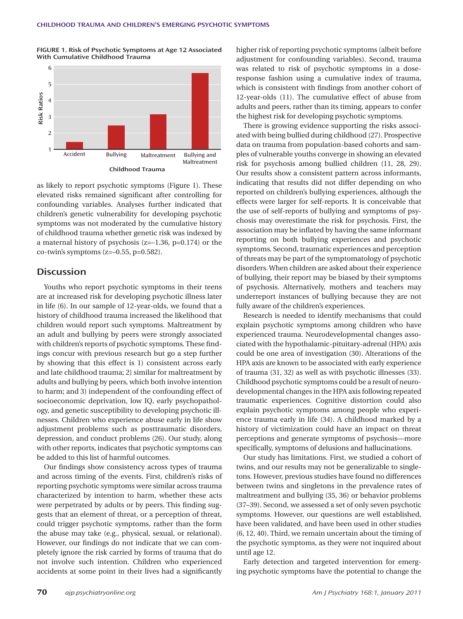**FIGURE 1. Risk of Psychotic Symptoms at Age 12 Associated With Cumulative Childhood Trauma**



as likely to report psychotic symptoms (Figure 1). These elevated risks remained significant after controlling for confounding variables. Analyses further indicated that children's genetic vulnerability for developing psychotic symptoms was not moderated by the cumulative history of childhood trauma whether genetic risk was indexed by a maternal history of psychosis  $(z=-1.36, p=0.174)$  or the  $co$ -twin's symptoms (z=-0.55, p=0.582).

## **Discussion**

Youths who report psychotic symptoms in their teens are at increased risk for developing psychotic illness later in life (6). In our sample of 12-year-olds, we found that a history of childhood trauma increased the likelihood that children would report such symptoms. Maltreatment by an adult and bullying by peers were strongly associated with children's reports of psychotic symptoms. These findings concur with previous research but go a step further by showing that this effect is 1) consistent across early and late childhood trauma; 2) similar for maltreatment by adults and bullying by peers, which both involve intention to harm; and 3) independent of the confounding effect of socioeconomic deprivation, low IQ, early psychopathology, and genetic susceptibility to developing psychotic illnesses. Children who experience abuse early in life show adjustment problems such as posttraumatic disorders, depression, and conduct problems (26). Our study, along with other reports, indicates that psychotic symptoms can be added to this list of harmful outcomes.

Our findings show consistency across types of trauma and across timing of the events. First, children's risks of reporting psychotic symptoms were similar across trauma characterized by intention to harm, whether these acts were perpetrated by adults or by peers. This finding suggests that an element of threat, or a perception of threat, could trigger psychotic symptoms, rather than the form the abuse may take (e.g., physical, sexual, or relational). However, our findings do not indicate that we can completely ignore the risk carried by forms of trauma that do not involve such intention. Children who experienced accidents at some point in their lives had a significantly

higher risk of reporting psychotic symptoms (albeit before adjustment for confounding variables). Second, trauma was related to risk of psychotic symptoms in a doseresponse fashion using a cumulative index of trauma, which is consistent with findings from another cohort of 12-year-olds (11). The cumulative effect of abuse from adults and peers, rather than its timing, appears to confer the highest risk for developing psychotic symptoms.

There is growing evidence supporting the risks associated with being bullied during childhood (27). Prospective data on trauma from population-based cohorts and samples of vulnerable youths converge in showing an elevated risk for psychosis among bullied children (11, 28, 29). Our results show a consistent pattern across informants, indicating that results did not differ depending on who reported on children's bullying experiences, although the effects were larger for self-reports. It is conceivable that the use of self-reports of bullying and symptoms of psychosis may overestimate the risk for psychosis. First, the association may be inflated by having the same informant reporting on both bullying experiences and psychotic symptoms. Second, traumatic experiences and perception of threats may be part of the symptomatology of psychotic disorders. When children are asked about their experience of bullying, their report may be biased by their symptoms of psychosis. Alternatively, mothers and teachers may underreport instances of bullying because they are not fully aware of the children's experiences.

Research is needed to identify mechanisms that could explain psychotic symptoms among children who have experienced trauma. Neurodevelopmental changes associated with the hypothalamic-pituitary-adrenal (HPA) axis could be one area of investigation (30). Alterations of the HPA axis are known to be associated with early experience of trauma (31, 32) as well as with psychotic illnesses (33). Childhood psychotic symptoms could be a result of neurodevelopmental changes in the HPA axis following repeated traumatic experiences. Cognitive distortion could also explain psychotic symptoms among people who experience trauma early in life (34). A childhood marked by a history of victimization could have an impact on threat perceptions and generate symptoms of psychosis—more specifically, symptoms of delusions and hallucinations.

Our study has limitations. First, we studied a cohort of twins, and our results may not be generalizable to singletons. However, previous studies have found no differences between twins and singletons in the prevalence rates of maltreatment and bullying (35, 36) or behavior problems (37–39). Second, we assessed a set of only seven psychotic symptoms. However, our questions are well established, have been validated, and have been used in other studies (6, 12, 40). Third, we remain uncertain about the timing of the psychotic symptoms, as they were not inquired about until age 12.

Early detection and targeted intervention for emerging psychotic symptoms have the potential to change the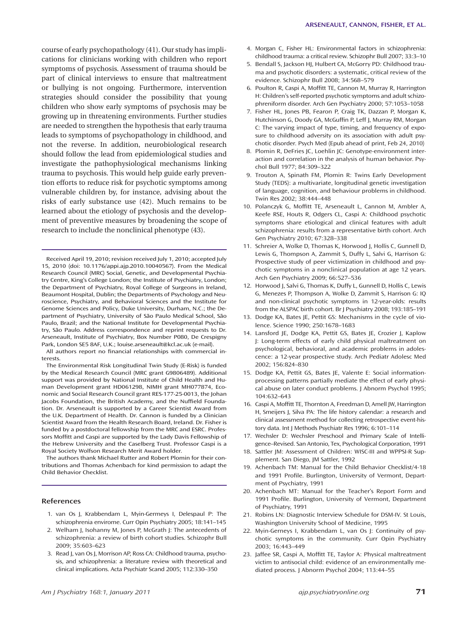course of early psychopathology (41). Our study has implications for clinicians working with children who report symptoms of psychosis. Assessment of trauma should be part of clinical interviews to ensure that maltreatment or bullying is not ongoing. Furthermore, intervention strategies should consider the possibility that young children who show early symptoms of psychosis may be growing up in threatening environments. Further studies are needed to strengthen the hypothesis that early trauma leads to symptoms of psychopathology in childhood, and not the reverse. In addition, neurobiological research should follow the lead from epidemiological studies and investigate the pathophysiological mechanisms linking trauma to psychosis. This would help guide early prevention efforts to reduce risk for psychotic symptoms among vulnerable children by, for instance, advising about the risks of early substance use (42). Much remains to be learned about the etiology of psychosis and the development of preventive measures by broadening the scope of research to include the nonclinical phenotype (43).

Received April 19, 2010; revision received July 1, 2010; accepted July 15, 2010 (doi: 10.1176/appi.ajp.2010.10040567). From the Medical Research Council (MRC) Social, Genetic, and Developmental Psychiatry Centre, King's College London; the Institute of Psychiatry, London; the Department of Psychiatry, Royal College of Surgeons in Ireland, Beaumont Hospital, Dublin; the Departments of Psychology and Neuroscience, Psychiatry, and Behavioral Sciences and the Institute for Genome Sciences and Policy, Duke University, Durham, N.C.; the Department of Psychiatry, University of São Paulo Medical School, São Paulo, Brazil; and the National Institute for Developmental Psychiatry, São Paulo. Address correspondence and reprint requests to Dr. Arseneault, Institute of Psychiatry, Box Number P080, De Crespigny Park, London SE5 8AF, U.K.; louise.arseneault@kcl.ac.uk (e-mail).

All authors report no financial relationships with commercial interests.

The Environmental Risk Longitudinal Twin Study (E-Risk) is funded by the Medical Research Council (MRC grant G9806489). Additional support was provided by National Institute of Child Health and Human Development grant HD061298, NIMH grant MH077874, Economic and Social Research Council grant RES-177-25-0013, the Johan Jacobs Foundation, the British Academy, and the Nuffield Foundation. Dr. Arseneault is supported by a Career Scientist Award from the U.K. Department of Health. Dr. Cannon is funded by a Clinician Scientist Award from the Health Research Board, Ireland. Dr. Fisher is funded by a postdoctoral fellowship from the MRC and ESRC. Professors Moffitt and Caspi are supported by the Lady Davis Fellowship of the Hebrew University and the Caselberg Trust. Professor Caspi is a Royal Society Wolfson Research Merit Award holder.

The authors thank Michael Rutter and Robert Plomin for their contributions and Thomas Achenbach for kind permission to adapt the Child Behavior Checklist.

#### **References**

- 1. van Os J, Krabbendam L, Myin-Germeys I, Delespaul P: The schizophrenia envirome. Curr Opin Psychiatry 2005; 18:141–145
- 2. Welham J, Isohanny M, Jones P, McGrath J: The antecedents of schizophrenia: a review of birth cohort studies. Schizophr Bull 2009; 35:603–623
- 3. Read J, van Os J, Morrison AP, Ross CA: Childhood trauma, psychosis, and schizophrenia: a literature review with theoretical and clinical implications. Acta Psychiatr Scand 2005; 112:330–350
- 4. Morgan C, Fisher HL: Environmental factors in schizophrenia: childhood trauma: a critical review. Schizophr Bull 2007; 33:3–10
- 5. Bendall S, Jackson HJ, Hulbert CA, McGorry PD: Childhood trauma and psychotic disorders: a systematic, critical review of the evidence. Schizophr Bull 2008; 34:568–579
- 6. Poulton R, Caspi A, Moffitt TE, Cannon M, Murray R, Harrington H: Children's self-reported psychotic symptoms and adult schizophreniform disorder. Arch Gen Psychiatry 2000; 57:1053–1058
- 7. Fisher HL, Jones PB, Fearon P, Craig TK, Dazzan P, Morgan K, Hutchinson G, Doody GA, McGuffin P, Leff J, Murray RM, Morgan C: The varying impact of type, timing, and frequency of exposure to childhood adversity on its association with adult psychotic disorder. Psych Med (Epub ahead of print, Feb 24, 2010)
- 8. Plomin R, DeFries JC, Loehlin JC: Genotype-environment interaction and correlation in the analysis of human behavior. Psychol Bull 1977; 84:309–322
- 9. Trouton A, Spinath FM, Plomin R: Twins Early Development Study (TEDS): a multivariate, longitudinal genetic investigation of language, cognition, and behaviour problems in childhood. Twin Res 2002; 38:444–448
- 10. Polanczyk G, Moffitt TE, Arseneault L, Cannon M, Ambler A, Keefe RSE, Houts R, Odgers CL, Caspi A: Childhood psychotic symptoms share etiological and clinical features with adult schizophrenia: results from a representative birth cohort. Arch Gen Psychiatry 2010; 67:328–338
- 11. Schreier A, Wolke D, Thomas K, Horwood J, Hollis C, Gunnell D, Lewis G, Thompson A, Zammit S, Duffy L, Salvi G, Harrison G: Prospective study of peer victimization in childhood and psychotic symptoms in a nonclinical population at age 12 years. Arch Gen Psychiatry 2009; 66:527–536
- 12. Horwood J, Salvi G, Thomas K, Duffy L, Gunnell D, Hollis C, Lewis G, Menezes P, Thompson A, Wolke D, Zammit S, Harrison G: IQ and non-clinical psychotic symptoms in 12-year-olds: results from the ALSPAC birth cohort. Br J Psychiatry 2008; 193:185–191
- 13. Dodge KA, Bates JE, Pettit GS: Mechanisms in the cycle of violence. Science 1990; 250:1678–1683
- 14. Lansford JE, Dodge KA, Pettit GS, Bates JE, Crozier J, Kaplow J: Long-term effects of early child physical maltreatment on psychological, behavioral, and academic problems in adolescence: a 12-year prospective study. Arch Pediatr Adolesc Med 2002; 156:824–830
- 15. Dodge KA, Pettit GS, Bates JE, Valente E: Social informationprocessing patterns partially mediate the effect of early physical abuse on later conduct problems. J Abnorm Psychol 1995; 104:632–643
- 16. Caspi A, Moffitt TE, Thornton A, Freedman D, Amell JW, Harrington H, Smeijers J, Silva PA: The life history calendar: a research and clinical assessment method for collecting retrospective event-history data. Int J Methods Psychiatr Res 1996; 6:101–114
- 17. Wechsler D: Wechsler Preschool and Primary Scale of Intelligence–Revised. San Antonio, Tex, Psychological Corporation, 1991
- 18. Sattler JM: Assessment of Children: WISC-III and WPPSI-R Supplement. San Diego, JM Sattler, 1992
- 19. Achenbach TM: Manual for the Child Behavior Checklist/4-18 and 1991 Profile. Burlington, University of Vermont, Department of Psychiatry, 1991
- 20. Achenbach MT: Manual for the Teacher's Report Form and 1991 Profile. Burlington, University of Vermont, Department of Psychiatry, 1991
- 21. Robins LN: Diagnostic Interview Schedule for DSM-IV. St Louis, Washington University School of Medicine, 1995
- 22. Myin-Gerneys I, Krabbendam L, van Os J: Continuity of psychotic symptoms in the community. Curr Opin Psychiatry 2003; 16:443–449
- 23. Jaffee SR, Caspi A, Moffitt TE, Taylor A: Physical maltreatment victim to antisocial child: evidence of an environmentally mediated process. J Abnorm Psychol 2004; 113:44–55